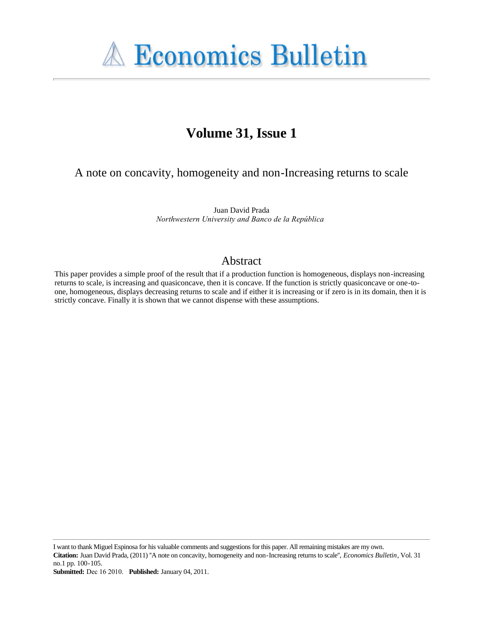

# **Volume 31, Issue 1**

A note on concavity, homogeneity and non-Increasing returns to scale

Juan David Prada *Northwestern University and Banco de la República*

#### Abstract

This paper provides a simple proof of the result that if a production function is homogeneous, displays non-increasing returns to scale, is increasing and quasiconcave, then it is concave. If the function is strictly quasiconcave or one-toone, homogeneous, displays decreasing returns to scale and if either it is increasing or if zero is in its domain, then it is strictly concave. Finally it is shown that we cannot dispense with these assumptions.

I want to thank Miguel Espinosa for his valuable comments and suggestions for this paper. All remaining mistakes are my own. **Citation:** Juan David Prada, (2011) ''A note on concavity, homogeneity and non-Increasing returns to scale'', *Economics Bulletin*, Vol. 31 no.1 pp. 100-105.

**Submitted:** Dec 16 2010. **Published:** January 04, 2011.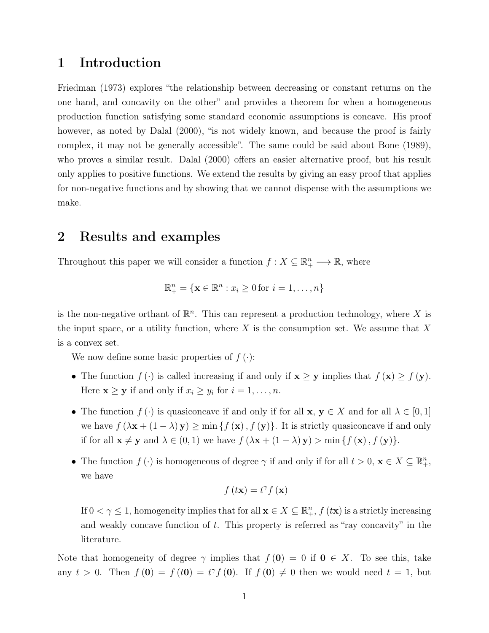### 1 Introduction

Friedman (1973) explores "the relationship between decreasing or constant returns on the one hand, and concavity on the other" and provides a theorem for when a homogeneous production function satisfying some standard economic assumptions is concave. His proof however, as noted by Dalal  $(2000)$ , "is not widely known, and because the proof is fairly complex, it may not be generally accessible". The same could be said about Bone (1989), who proves a similar result. Dalal (2000) offers an easier alternative proof, but his result only applies to positive functions. We extend the results by giving an easy proof that applies for non-negative functions and by showing that we cannot dispense with the assumptions we make.

### 2 Results and examples

Throughout this paper we will consider a function  $f: X \subseteq \mathbb{R}_+^n \longrightarrow \mathbb{R}$ , where

$$
\mathbb{R}^n_+ = \{ \mathbf{x} \in \mathbb{R}^n : x_i \ge 0 \text{ for } i = 1, \dots, n \}
$$

is the non-negative orthant of  $\mathbb{R}^n$ . This can represent a production technology, where X is the input space, or a utility function, where  $X$  is the consumption set. We assume that  $X$ is a convex set.

We now define some basic properties of  $f(\cdot)$ :

- The function  $f(\cdot)$  is called increasing if and only if  $\mathbf{x} \geq \mathbf{y}$  implies that  $f(\mathbf{x}) \geq f(\mathbf{y})$ . Here  $\mathbf{x} \geq \mathbf{y}$  if and only if  $x_i \geq y_i$  for  $i = 1, \ldots, n$ .
- The function  $f(\cdot)$  is quasiconcave if and only if for all  $\mathbf{x}, \mathbf{y} \in X$  and for all  $\lambda \in [0,1]$ we have  $f(\lambda \mathbf{x} + (1 - \lambda) \mathbf{y}) \ge \min \{f(\mathbf{x}), f(\mathbf{y})\}.$  It is strictly quasiconcave if and only if for all  $\mathbf{x} \neq \mathbf{y}$  and  $\lambda \in (0, 1)$  we have  $f(\lambda \mathbf{x} + (1 - \lambda) \mathbf{y}) > \min \{f(\mathbf{x}), f(\mathbf{y})\}.$
- The function  $f(\cdot)$  is homogeneous of degree  $\gamma$  if and only if for all  $t > 0$ ,  $\mathbf{x} \in X \subseteq \mathbb{R}^n_+$ , we have

$$
f(t\mathbf{x}) = t^{\gamma} f(\mathbf{x})
$$

If  $0 < \gamma \leq 1$ , homogeneity implies that for all  $\mathbf{x} \in X \subseteq \mathbb{R}^n_+$ ,  $f(\mathbf{tx})$  is a strictly increasing and weakly concave function of  $t$ . This property is referred as "ray concavity" in the literature.

Note that homogeneity of degree  $\gamma$  implies that  $f(\mathbf{0}) = 0$  if  $\mathbf{0} \in X$ . To see this, take any  $t > 0$ . Then  $f(0) = f(t0) = t^{\gamma} f(0)$ . If  $f(0) \neq 0$  then we would need  $t = 1$ , but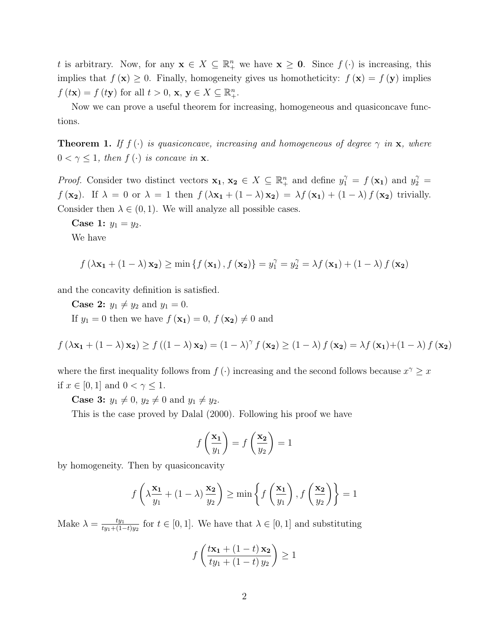t is arbitrary. Now, for any  $\mathbf{x} \in X \subseteq \mathbb{R}^n_+$  we have  $\mathbf{x} \geq \mathbf{0}$ . Since  $f(\cdot)$  is increasing, this implies that  $f(\mathbf{x}) \geq 0$ . Finally, homogeneity gives us homotheticity:  $f(\mathbf{x}) = f(\mathbf{y})$  implies  $f (t\mathbf{x}) = f (t\mathbf{y})$  for all  $t > 0$ ,  $\mathbf{x}, \mathbf{y} \in X \subseteq \mathbb{R}_{+}^{n}$ .

Now we can prove a useful theorem for increasing, homogeneous and quasiconcave functions.

**Theorem 1.** If  $f(\cdot)$  is quasiconcave, increasing and homogeneous of degree  $\gamma$  in **x**, where  $0 < \gamma \leq 1$ , then  $f(\cdot)$  is concave in **x**.

*Proof.* Consider two distinct vectors  $\mathbf{x}_1, \mathbf{x}_2 \in X \subseteq \mathbb{R}^n_+$  and define  $y_1^{\gamma} = f(\mathbf{x}_1)$  and  $y_2^{\gamma} = f(\mathbf{x}_2)$  $f(\mathbf{x_2})$ . If  $\lambda = 0$  or  $\lambda = 1$  then  $f(\lambda \mathbf{x_1} + (1 - \lambda) \mathbf{x_2}) = \lambda f(\mathbf{x_1}) + (1 - \lambda) f(\mathbf{x_2})$  trivially. Consider then  $\lambda \in (0,1)$ . We will analyze all possible cases.

**Case 1:**  $y_1 = y_2$ . We have

$$
f\left(\lambda\mathbf{x_1} + \left(1-\lambda\right)\mathbf{x_2}\right) \ge \min\left\{f\left(\mathbf{x_1}\right), f\left(\mathbf{x_2}\right)\right\} = y_1^{\gamma} = y_2^{\gamma} = \lambda f\left(\mathbf{x_1}\right) + \left(1-\lambda\right)f\left(\mathbf{x_2}\right)
$$

and the concavity definition is satisfied.

**Case 2:**  $y_1 \neq y_2$  and  $y_1 = 0$ . If  $y_1 = 0$  then we have  $f(\mathbf{x_1}) = 0$ ,  $f(\mathbf{x_2}) \neq 0$  and

 $f(\lambda \mathbf{x_1} + (1 - \lambda) \mathbf{x_2}) \ge f((1 - \lambda) \mathbf{x_2}) = (1 - \lambda)^{\gamma} f(\mathbf{x_2}) \ge (1 - \lambda) f(\mathbf{x_2}) = \lambda f(\mathbf{x_1}) + (1 - \lambda) f(\mathbf{x_2})$ 

where the first inequality follows from  $f(\cdot)$  increasing and the second follows because  $x^{\gamma} \geq x$ if  $x \in [0, 1]$  and  $0 < \gamma \leq 1$ .

**Case 3:**  $y_1 \neq 0$ ,  $y_2 \neq 0$  and  $y_1 \neq y_2$ .

This is the case proved by Dalal (2000). Following his proof we have

$$
f\left(\frac{\mathbf{x_1}}{y_1}\right) = f\left(\frac{\mathbf{x_2}}{y_2}\right) = 1
$$

by homogeneity. Then by quasiconcavity

$$
f\left(\lambda \frac{\mathbf{x_1}}{y_1} + (1 - \lambda) \frac{\mathbf{x_2}}{y_2}\right) \ge \min\left\{f\left(\frac{\mathbf{x_1}}{y_1}\right), f\left(\frac{\mathbf{x_2}}{y_2}\right)\right\} = 1
$$

Make  $\lambda = \frac{ty_1}{ty_1+(1-x_2)}$  $\frac{ty_1}{ty_1+(1-t)y_2}$  for  $t \in [0,1]$ . We have that  $\lambda \in [0,1]$  and substituting

$$
f\left(\frac{t\mathbf{x_1} + (1-t)\mathbf{x_2}}{ty_1 + (1-t)\,y_2}\right) \ge 1
$$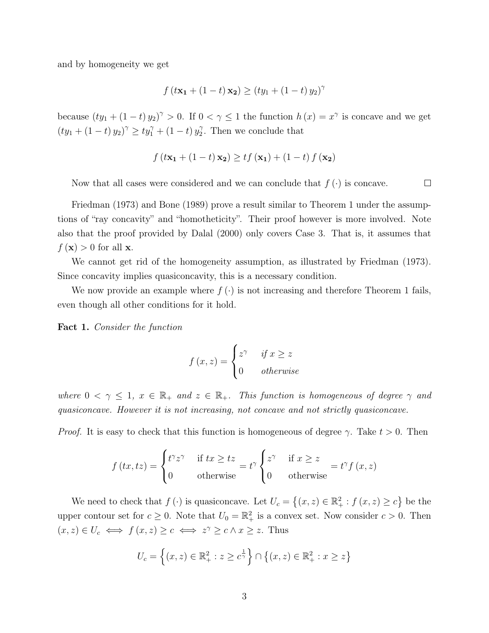and by homogeneity we get

$$
f(t\mathbf{x_1} + (1-t)\mathbf{x_2}) \ge (ty_1 + (1-t)\,y_2)^{\gamma}
$$

because  $(ty_1 + (1-t)y_2)^{\gamma} > 0$ . If  $0 < \gamma \le 1$  the function  $h(x) = x^{\gamma}$  is concave and we get  $(ty_1 + (1-t) y_2)^{\gamma} \geq ty_1^{\gamma} + (1-t) y_2^{\gamma}$  $2^{\gamma}$ . Then we conclude that

$$
f(t\mathbf{x_1} + (1-t)\mathbf{x_2}) \ge tf(\mathbf{x_1}) + (1-t)f(\mathbf{x_2})
$$

Now that all cases were considered and we can conclude that  $f(\cdot)$  is concave.  $\Box$ 

Friedman (1973) and Bone (1989) prove a result similar to Theorem 1 under the assumptions of "ray concavity" and "homotheticity". Their proof however is more involved. Note also that the proof provided by Dalal (2000) only covers Case 3. That is, it assumes that  $f(\mathbf{x}) > 0$  for all **x**.

We cannot get rid of the homogeneity assumption, as illustrated by Friedman (1973). Since concavity implies quasiconcavity, this is a necessary condition.

We now provide an example where  $f(\cdot)$  is not increasing and therefore Theorem 1 fails, even though all other conditions for it hold.

Fact 1. Consider the function

$$
f(x, z) = \begin{cases} z^{\gamma} & \text{if } x \ge z \\ 0 & \text{otherwise} \end{cases}
$$

where  $0 < \gamma \leq 1$ ,  $x \in \mathbb{R}_+$  and  $z \in \mathbb{R}_+$ . This function is homogeneous of degree  $\gamma$  and quasiconcave. However it is not increasing, not concave and not strictly quasiconcave.

*Proof.* It is easy to check that this function is homogeneous of degree  $\gamma$ . Take  $t > 0$ . Then

$$
f(tx, tz) = \begin{cases} t^{\gamma}z^{\gamma} & \text{if } tx \ge tz \\ 0 & \text{otherwise} \end{cases} = t^{\gamma} \begin{cases} z^{\gamma} & \text{if } x \ge z \\ 0 & \text{otherwise} \end{cases} = t^{\gamma}f(x, z)
$$

We need to check that  $f(\cdot)$  is quasiconcave. Let  $U_c = \{(x, z) \in \mathbb{R}^2_+ : f(x, z) \ge c\}$  be the upper contour set for  $c \geq 0$ . Note that  $U_0 = \mathbb{R}^2_+$  is a convex set. Now consider  $c > 0$ . Then  $(x, z) \in U_c \iff f(x, z) \geq c \iff z^{\gamma} \geq c \land x \geq z$ . Thus

$$
U_c = \left\{ (x, z) \in \mathbb{R}_+^2 : z \ge c^{\frac{1}{\gamma}} \right\} \cap \left\{ (x, z) \in \mathbb{R}_+^2 : x \ge z \right\}
$$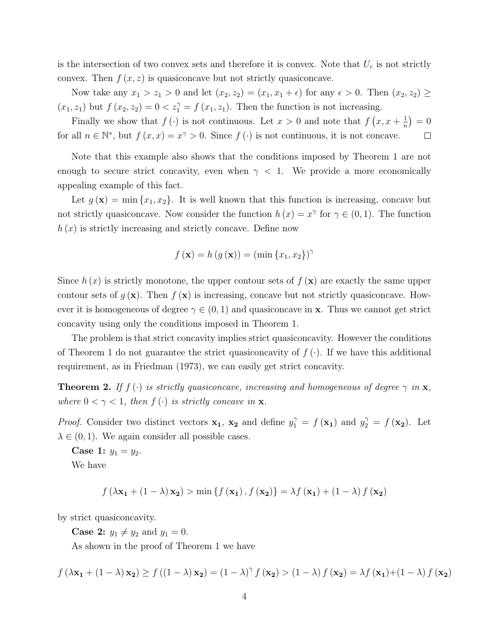is the intersection of two convex sets and therefore it is convex. Note that  $U_c$  is not strictly convex. Then  $f(x, z)$  is quasiconcave but not strictly quasiconcave.

Now take any  $x_1 > z_1 > 0$  and let  $(x_2, z_2) = (x_1, x_1 + \epsilon)$  for any  $\epsilon > 0$ . Then  $(x_2, z_2) \ge$  $(x_1, z_1)$  but  $f(x_2, z_2) = 0 < z_1^{\gamma} = f(x_1, z_1)$ . Then the function is not increasing.

Finally we show that  $f(\cdot)$  is not continuous. Let  $x > 0$  and note that  $f(x, x + \frac{1}{n})$  $\frac{1}{n}$  = 0 for all  $n \in \mathbb{N}^*$ , but  $f(x, x) = x^{\gamma} > 0$ . Since  $f(\cdot)$  is not continuous, it is not concave.  $\Box$ 

Note that this example also shows that the conditions imposed by Theorem 1 are not enough to secure strict concavity, even when  $\gamma$  < 1. We provide a more economically appealing example of this fact.

Let  $g(\mathbf{x}) = \min\{x_1, x_2\}$ . It is well known that this function is increasing, concave but not strictly quasiconcave. Now consider the function  $h(x) = x^{\gamma}$  for  $\gamma \in (0,1)$ . The function  $h(x)$  is strictly increasing and strictly concave. Define now

$$
f(\mathbf{x}) = h(g(\mathbf{x})) = (\min\{x_1, x_2\})^{\gamma}
$$

Since  $h(x)$  is strictly monotone, the upper contour sets of  $f(x)$  are exactly the same upper contour sets of  $g(\mathbf{x})$ . Then  $f(\mathbf{x})$  is increasing, concave but not strictly quasiconcave. However it is homogeneous of degree  $\gamma \in (0,1)$  and quasiconcave in x. Thus we cannot get strict concavity using only the conditions imposed in Theorem 1.

The problem is that strict concavity implies strict quasiconcavity. However the conditions of Theorem 1 do not guarantee the strict quasiconcavity of  $f(\cdot)$ . If we have this additional requirement, as in Friedman (1973), we can easily get strict concavity.

**Theorem 2.** If  $f(\cdot)$  is strictly quasiconcave, increasing and homogeneous of degree  $\gamma$  in  $\mathbf{x}$ , where  $0 < \gamma < 1$ , then  $f(\cdot)$  is strictly concave in **x**.

*Proof.* Consider two distinct vectors  $\mathbf{x}_1$ ,  $\mathbf{x}_2$  and define  $y_1^{\gamma} = f(\mathbf{x}_1)$  and  $y_2^{\gamma} = f(\mathbf{x}_2)$ . Let  $\lambda \in (0, 1)$ . We again consider all possible cases.

Case 1:  $y_1 = y_2$ .

We have

$$
f(\lambda \mathbf{x_1} + (1 - \lambda) \mathbf{x_2}) > \min \{ f(\mathbf{x_1}), f(\mathbf{x_2}) \} = \lambda f(\mathbf{x_1}) + (1 - \lambda) f(\mathbf{x_2})
$$

by strict quasiconcavity.

**Case 2:**  $y_1 \neq y_2$  and  $y_1 = 0$ .

As shown in the proof of Theorem 1 we have

$$
f(\lambda \mathbf{x_1} + (1 - \lambda) \mathbf{x_2}) \ge f((1 - \lambda) \mathbf{x_2}) = (1 - \lambda)^{\gamma} f(\mathbf{x_2}) > (1 - \lambda) f(\mathbf{x_2}) = \lambda f(\mathbf{x_1}) + (1 - \lambda) f(\mathbf{x_2})
$$